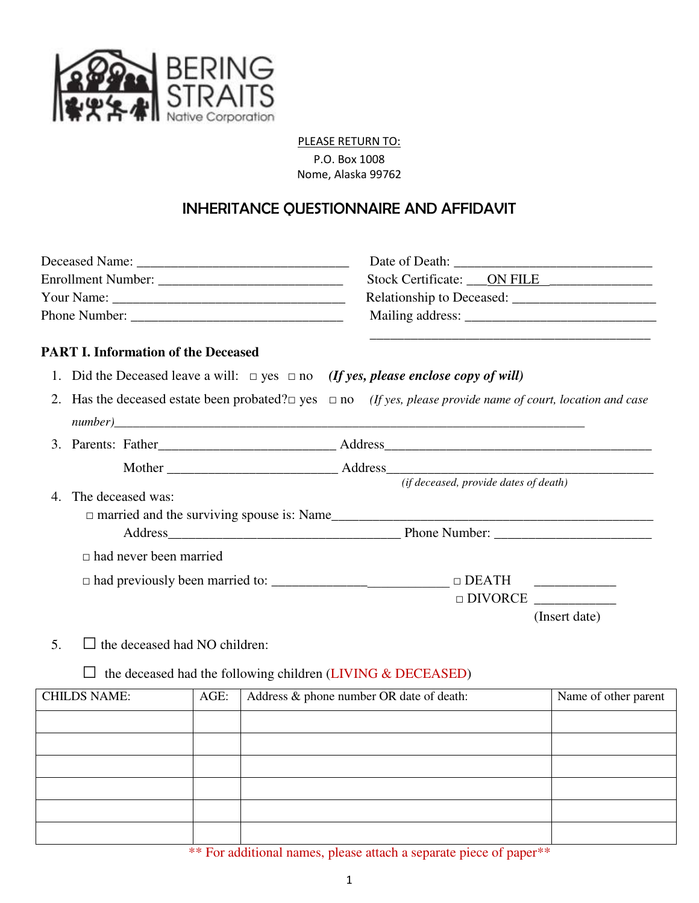

#### PLEASE RETURN TO:

P.O. Box 1008 Nome, Alaska 99762

# INHERITANCE QUESTIONNAIRE AND AFFIDAVIT

|                |                                                                                              | Stock Certificate: ____ ON FILE                                                                                               |  |  |
|----------------|----------------------------------------------------------------------------------------------|-------------------------------------------------------------------------------------------------------------------------------|--|--|
|                |                                                                                              |                                                                                                                               |  |  |
|                |                                                                                              |                                                                                                                               |  |  |
|                | <b>PART I. Information of the Deceased</b>                                                   | and the control of the control of the control of the control of the control of the control of the control of the              |  |  |
|                | 1. Did the Deceased leave a will: $\Box$ yes $\Box$ no (If yes, please enclose copy of will) |                                                                                                                               |  |  |
|                |                                                                                              | 2. Has the deceased estate been probated? $\square$ yes $\square$ no (If yes, please provide name of court, location and case |  |  |
|                |                                                                                              |                                                                                                                               |  |  |
|                |                                                                                              |                                                                                                                               |  |  |
|                |                                                                                              | (if deceased, provide dates of death)                                                                                         |  |  |
| 4 <sup>1</sup> | The deceased was:                                                                            |                                                                                                                               |  |  |
|                |                                                                                              |                                                                                                                               |  |  |
|                |                                                                                              |                                                                                                                               |  |  |
|                | $\Box$ had never been married                                                                |                                                                                                                               |  |  |
|                |                                                                                              |                                                                                                                               |  |  |
|                |                                                                                              | $\Box$ DIVORCE                                                                                                                |  |  |
|                |                                                                                              | (Insert date)                                                                                                                 |  |  |

5.  $\Box$  the deceased had NO children:

## $\square$  the deceased had the following children (LIVING & DECEASED)

| <b>CHILDS NAME:</b> | AGE: | Address & phone number OR date of death: | Name of other parent |
|---------------------|------|------------------------------------------|----------------------|
|                     |      |                                          |                      |
|                     |      |                                          |                      |
|                     |      |                                          |                      |
|                     |      |                                          |                      |
|                     |      |                                          |                      |
|                     |      |                                          |                      |

\*\* For additional names, please attach a separate piece of paper\*\*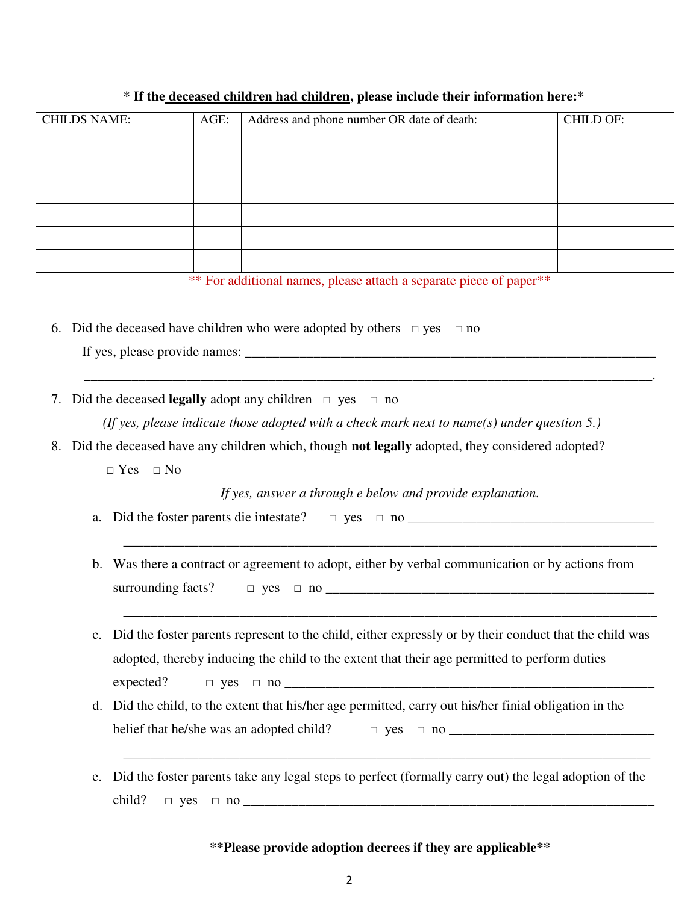| <b>CHILDS NAME:</b> | AGE: | Address and phone number OR date of death: | <b>CHILD OF:</b> |
|---------------------|------|--------------------------------------------|------------------|
|                     |      |                                            |                  |
|                     |      |                                            |                  |
|                     |      |                                            |                  |
|                     |      |                                            |                  |
|                     |      |                                            |                  |
|                     |      |                                            |                  |

## **\* If the deceased children had children, please include their information here:\***

\*\* For additional names, please attach a separate piece of paper\*\*

6. Did the deceased have children who were adopted by others  $\Box$  yes  $\Box$  no

If yes, please provide names: \_\_\_\_\_\_\_\_\_\_\_\_\_\_\_\_\_\_\_\_\_\_\_\_\_\_\_\_\_\_\_\_\_\_\_\_\_\_\_\_\_\_\_\_\_\_\_\_\_\_\_\_\_\_\_\_\_\_\_\_

7. Did the deceased **legally** adopt any children □ yes □ no

*(If yes, please indicate those adopted with a check mark next to name(s) under question 5.)* 

\_\_\_\_\_\_\_\_\_\_\_\_\_\_\_\_\_\_\_\_\_\_\_\_\_\_\_\_\_\_\_\_\_\_\_\_\_\_\_\_\_\_\_\_\_\_\_\_\_\_\_\_\_\_\_\_\_\_\_\_\_\_\_\_\_\_\_\_\_\_\_\_\_\_\_\_\_\_\_\_\_\_\_.

- 8. Did the deceased have any children which, though **not legally** adopted, they considered adopted?
	- $\neg$  Yes  $\neg$  No

*If yes, answer a through e below and provide explanation.* 

\_\_\_\_\_\_\_\_\_\_\_\_\_\_\_\_\_\_\_\_\_\_\_\_\_\_\_\_\_\_\_\_\_\_\_\_\_\_\_\_\_\_\_\_\_\_\_\_\_\_\_\_\_\_\_\_\_\_\_\_\_\_\_\_\_\_\_\_\_\_\_\_\_\_\_\_\_\_

\_\_\_\_\_\_\_\_\_\_\_\_\_\_\_\_\_\_\_\_\_\_\_\_\_\_\_\_\_\_\_\_\_\_\_\_\_\_\_\_\_\_\_\_\_\_\_\_\_\_\_\_\_\_\_\_\_\_\_\_\_\_\_\_\_\_\_\_\_\_\_\_\_\_\_\_\_\_

- a. Did the foster parents die intestate?  $\Box$  yes  $\Box$  no  $\Box$
- b. Was there a contract or agreement to adopt, either by verbal communication or by actions from surrounding facts?  $\Box$  yes  $\Box$  no  $\Box$
- c. Did the foster parents represent to the child, either expressly or by their conduct that the child was adopted, thereby inducing the child to the extent that their age permitted to perform duties  $expected? \qquad \Box \text{ yes } \Box \text{ no } \_ \qquad \qquad \_ \Box$
- d. Did the child, to the extent that his/her age permitted, carry out his/her finial obligation in the belief that he/she was an adopted child? □ yes □ no \_\_\_\_\_\_\_\_\_\_\_\_\_\_\_\_\_\_\_\_\_\_\_\_\_\_\_\_\_\_
- e. Did the foster parents take any legal steps to perfect (formally carry out) the legal adoption of the child? □ yes □ no \_\_\_\_\_\_\_\_\_\_\_\_\_\_\_\_\_\_\_\_\_\_\_\_\_\_\_\_\_\_\_\_\_\_\_\_\_\_\_\_\_\_\_\_\_\_\_\_\_\_\_\_\_\_\_\_\_\_\_\_

\_\_\_\_\_\_\_\_\_\_\_\_\_\_\_\_\_\_\_\_\_\_\_\_\_\_\_\_\_\_\_\_\_\_\_\_\_\_\_\_\_\_\_\_\_\_\_\_\_\_\_\_\_\_\_\_\_\_\_\_\_\_\_\_\_\_\_\_\_\_\_\_\_\_\_\_\_

## **\*\*Please provide adoption decrees if they are applicable\*\***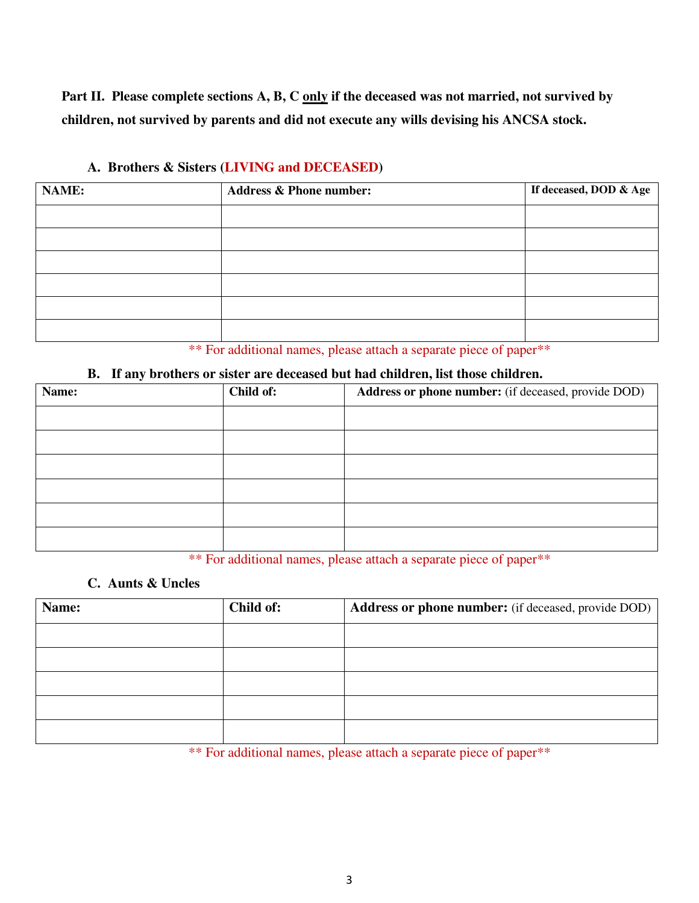Part II. Please complete sections A, B, C only if the deceased was not married, not survived by **children, not survived by parents and did not execute any wills devising his ANCSA stock.** 

| <b>NAME:</b> | <b>Address &amp; Phone number:</b> | If deceased, DOD & Age |
|--------------|------------------------------------|------------------------|
|              |                                    |                        |
|              |                                    |                        |
|              |                                    |                        |
|              |                                    |                        |
|              |                                    |                        |
|              |                                    |                        |

## **A. Brothers & Sisters (LIVING and DECEASED)**

\*\* For additional names, please attach a separate piece of paper\*\*

## **B. If any brothers or sister are deceased but had children, list those children.**

| Name: | Child of: | Address or phone number: (if deceased, provide DOD) |
|-------|-----------|-----------------------------------------------------|
|       |           |                                                     |
|       |           |                                                     |
|       |           |                                                     |
|       |           |                                                     |
|       |           |                                                     |
|       |           |                                                     |

\*\* For additional names, please attach a separate piece of paper\*\*

## **C. Aunts & Uncles**

| Name: | Child of: | <b>Address or phone number:</b> (if deceased, provide DOD) |
|-------|-----------|------------------------------------------------------------|
|       |           |                                                            |
|       |           |                                                            |
|       |           |                                                            |
|       |           |                                                            |
|       |           |                                                            |

\*\* For additional names, please attach a separate piece of paper\*\*